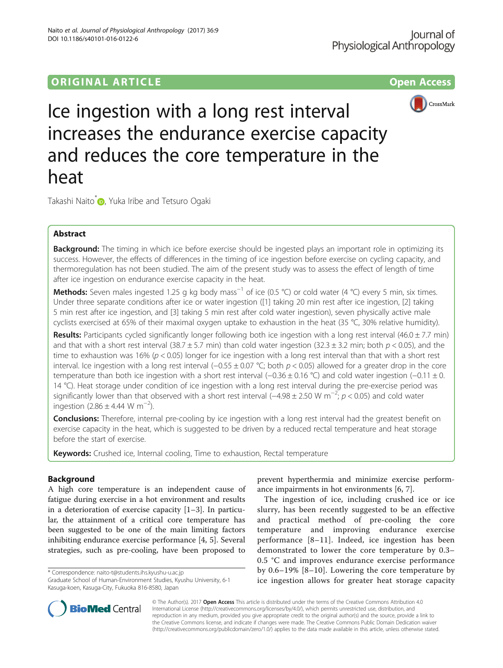# **ORIGINAL ARTICLE CONSERVERSITY OF ACCESS**



Ice ingestion with a long rest interval increases the endurance exercise capacity and reduces the core temperature in the heat

Takashi Naito<sup>\*</sup> <sub>D</sub>[,](http://orcid.org/0000-0002-0912-3731) Yuka Iribe and Tetsuro Ogaki

# Abstract

Background: The timing in which ice before exercise should be ingested plays an important role in optimizing its success. However, the effects of differences in the timing of ice ingestion before exercise on cycling capacity, and thermoregulation has not been studied. The aim of the present study was to assess the effect of length of time after ice ingestion on endurance exercise capacity in the heat.

Methods: Seven males ingested 1.25 g kg body mass<sup>-1</sup> of ice (0.5 °C) or cold water (4 °C) every 5 min, six times. Under three separate conditions after ice or water ingestion ([1] taking 20 min rest after ice ingestion, [2] taking 5 min rest after ice ingestion, and [3] taking 5 min rest after cold water ingestion), seven physically active male cyclists exercised at 65% of their maximal oxygen uptake to exhaustion in the heat (35 °C, 30% relative humidity).

Results: Participants cycled significantly longer following both ice ingestion with a long rest interval (46.0  $\pm$  7.7 min) and that with a short rest interval (38.7  $\pm$  5.7 min) than cold water ingestion (32.3  $\pm$  3.2 min; both  $p$  < 0.05), and the time to exhaustion was 16% ( $p < 0.05$ ) longer for ice ingestion with a long rest interval than that with a short rest interval. Ice ingestion with a long rest interval (−0.55 ± 0.07 °C; both p < 0.05) allowed for a greater drop in the core temperature than both ice ingestion with a short rest interval (−0.36 ± 0.16 °C) and cold water ingestion (−0.11 ± 0. 14 °C). Heat storage under condition of ice ingestion with a long rest interval during the pre-exercise period was significantly lower than that observed with a short rest interval (-4.98 ± 2.50 W m<sup>-2</sup>;  $p < 0.05$ ) and cold water ingestion  $(2.86 \pm 4.44 \text{ W m}^{-2})$ .

Conclusions: Therefore, internal pre-cooling by ice ingestion with a long rest interval had the greatest benefit on exercise capacity in the heat, which is suggested to be driven by a reduced rectal temperature and heat storage before the start of exercise.

Keywords: Crushed ice, Internal cooling, Time to exhaustion, Rectal temperature

# Background

A high core temperature is an independent cause of fatigue during exercise in a hot environment and results in a deterioration of exercise capacity [[1](#page-7-0)–[3\]](#page-7-0). In particular, the attainment of a critical core temperature has been suggested to be one of the main limiting factors inhibiting endurance exercise performance [\[4](#page-7-0), [5](#page-7-0)]. Several strategies, such as pre-cooling, have been proposed to

prevent hyperthermia and minimize exercise performance impairments in hot environments [[6](#page-7-0), [7](#page-7-0)].

The ingestion of ice, including crushed ice or ice slurry, has been recently suggested to be an effective and practical method of pre-cooling the core temperature and improving endurance exercise performance [\[8](#page-7-0)–[11\]](#page-7-0). Indeed, ice ingestion has been demonstrated to lower the core temperature by 0.3– 0.5 °C and improves endurance exercise performance by 0.6–19% [[8](#page-7-0)–[10](#page-7-0)]. Lowering the core temperature by ice ingestion allows for greater heat storage capacity



© The Author(s). 2017 **Open Access** This article is distributed under the terms of the Creative Commons Attribution 4.0 International License [\(http://creativecommons.org/licenses/by/4.0/](http://creativecommons.org/licenses/by/4.0/)), which permits unrestricted use, distribution, and reproduction in any medium, provided you give appropriate credit to the original author(s) and the source, provide a link to the Creative Commons license, and indicate if changes were made. The Creative Commons Public Domain Dedication waiver [\(http://creativecommons.org/publicdomain/zero/1.0/](http://creativecommons.org/publicdomain/zero/1.0/)) applies to the data made available in this article, unless otherwise stated.

<sup>\*</sup> Correspondence: [naito-t@students.ihs.kyushu-u.ac.jp](mailto:naito-t@students.ihs.kyushu-u.ac.jp)

Graduate School of Human-Environment Studies, Kyushu University, 6-1 Kasuga-koen, Kasuga-City, Fukuoka 816-8580, Japan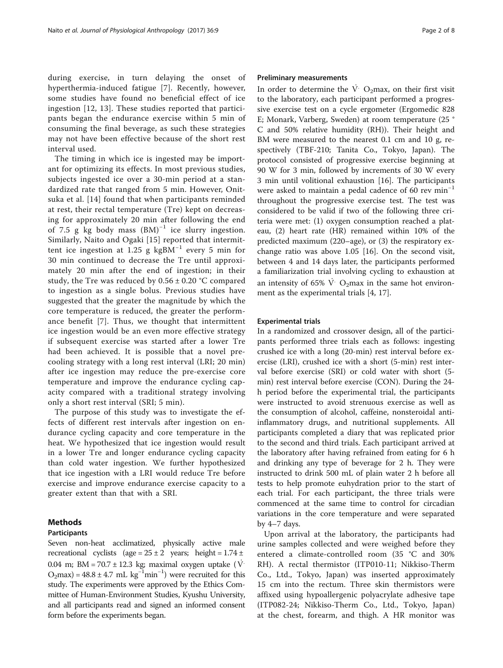during exercise, in turn delaying the onset of hyperthermia-induced fatigue [[7\]](#page-7-0). Recently, however, some studies have found no beneficial effect of ice ingestion [\[12, 13\]](#page-7-0). These studies reported that participants began the endurance exercise within 5 min of consuming the final beverage, as such these strategies may not have been effective because of the short rest interval used.

The timing in which ice is ingested may be important for optimizing its effects. In most previous studies, subjects ingested ice over a 30-min period at a standardized rate that ranged from 5 min. However, Onitsuka et al. [[14](#page-7-0)] found that when participants reminded at rest, their rectal temperature (Tre) kept on decreasing for approximately 20 min after following the end of 7.5 g kg body mass  $(BM)^{-1}$  ice slurry ingestion. Similarly, Naito and Ogaki [[15\]](#page-7-0) reported that intermittent ice ingestion at 1.25 g kgBM−<sup>1</sup> every 5 min for 30 min continued to decrease the Tre until approximately 20 min after the end of ingestion; in their study, the Tre was reduced by  $0.56 \pm 0.20$  °C compared to ingestion as a single bolus. Previous studies have suggested that the greater the magnitude by which the core temperature is reduced, the greater the performance benefit [\[7](#page-7-0)]. Thus, we thought that intermittent ice ingestion would be an even more effective strategy if subsequent exercise was started after a lower Tre had been achieved. It is possible that a novel precooling strategy with a long rest interval (LRI; 20 min) after ice ingestion may reduce the pre-exercise core temperature and improve the endurance cycling capacity compared with a traditional strategy involving only a short rest interval (SRI; 5 min).

The purpose of this study was to investigate the effects of different rest intervals after ingestion on endurance cycling capacity and core temperature in the heat. We hypothesized that ice ingestion would result in a lower Tre and longer endurance cycling capacity than cold water ingestion. We further hypothesized that ice ingestion with a LRI would reduce Tre before exercise and improve endurance exercise capacity to a greater extent than that with a SRI.

## Methods

### Participants

Seven non-heat acclimatized, physically active male recreational cyclists (age =  $25 \pm 2$  years; height =  $1.74 \pm$ 0.04 m; BM = 70.7  $\pm$  12.3 kg; maximal oxygen uptake (V $\cdot$  $O_2$ max) = 48.8 ± 4.7 mL kg<sup>-1</sup>min<sup>-1</sup>) were recruited for this study. The experiments were approved by the Ethics Committee of Human-Environment Studies, Kyushu University, and all participants read and signed an informed consent form before the experiments began.

#### Preliminary measurements

In order to determine the V $\cdot$  O<sub>2</sub>max, on their first visit to the laboratory, each participant performed a progressive exercise test on a cycle ergometer (Ergomedic 828 E; Monark, Varberg, Sweden) at room temperature (25 ° C and 50% relative humidity (RH)). Their height and BM were measured to the nearest 0.1 cm and 10 g, respectively (TBF-210; Tanita Co., Tokyo, Japan). The protocol consisted of progressive exercise beginning at 90 W for 3 min, followed by increments of 30 W every 3 min until volitional exhaustion [[16\]](#page-7-0). The participants were asked to maintain a pedal cadence of 60 rev  $min^{-1}$ throughout the progressive exercise test. The test was considered to be valid if two of the following three criteria were met: (1) oxygen consumption reached a plateau, (2) heart rate (HR) remained within 10% of the predicted maximum (220–age), or (3) the respiratory exchange ratio was above 1.05 [[16\]](#page-7-0). On the second visit, between 4 and 14 days later, the participants performed a familiarization trial involving cycling to exhaustion at an intensity of 65%  $\dot{V}$ . O<sub>2</sub>max in the same hot environment as the experimental trials [\[4](#page-7-0), [17](#page-7-0)].

#### Experimental trials

In a randomized and crossover design, all of the participants performed three trials each as follows: ingesting crushed ice with a long (20-min) rest interval before exercise (LRI), crushed ice with a short (5-min) rest interval before exercise (SRI) or cold water with short (5 min) rest interval before exercise (CON). During the 24 h period before the experimental trial, the participants were instructed to avoid strenuous exercise as well as the consumption of alcohol, caffeine, nonsteroidal antiinflammatory drugs, and nutritional supplements. All participants completed a diary that was replicated prior to the second and third trials. Each participant arrived at the laboratory after having refrained from eating for 6 h and drinking any type of beverage for 2 h. They were instructed to drink 500 mL of plain water 2 h before all tests to help promote euhydration prior to the start of each trial. For each participant, the three trials were commenced at the same time to control for circadian variations in the core temperature and were separated by 4–7 days.

Upon arrival at the laboratory, the participants had urine samples collected and were weighed before they entered a climate-controlled room (35 °C and 30% RH). A rectal thermistor (ITP010-11; Nikkiso-Therm Co., Ltd., Tokyo, Japan) was inserted approximately 15 cm into the rectum. Three skin thermistors were affixed using hypoallergenic polyacrylate adhesive tape (ITP082-24; Nikkiso-Therm Co., Ltd., Tokyo, Japan) at the chest, forearm, and thigh. A HR monitor was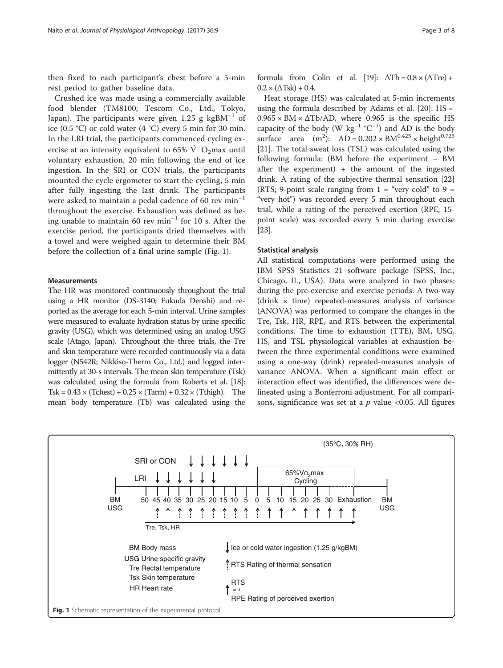then fixed to each participant's chest before a 5-min rest period to gather baseline data.

Crushed ice was made using a commercially available food blender (TM8100; Tescom Co., Ltd., Tokyo, Japan). The participants were given 1.25 g  $kgBM^{-1}$  of ice (0.5 °C) or cold water (4 °C) every 5 min for 30 min. In the LRI trial, the participants commenced cycling exercise at an intensity equivalent to 65%  $\dot{V}$  O<sub>2</sub>max until voluntary exhaustion, 20 min following the end of ice ingestion. In the SRI or CON trials, the participants mounted the cycle ergometer to start the cycling, 5 min after fully ingesting the last drink. The participants were asked to maintain a pedal cadence of 60 rev min−<sup>1</sup> throughout the exercise. Exhaustion was defined as being unable to maintain 60 rev min<sup> $-1$ </sup> for 10 s. After the exercise period, the participants dried themselves with a towel and were weighed again to determine their BM before the collection of a final urine sample (Fig. 1).

## Measurements

The HR was monitored continuously throughout the trial using a HR monitor (DS-3140; Fukuda Denshi) and reported as the average for each 5-min interval. Urine samples were measured to evaluate hydration status by urine specific gravity (USG), which was determined using an analog USG scale (Atago, Japan). Throughout the three trials, the Tre and skin temperature were recorded continuously via a data logger (N542R; Nikkiso-Therm Co., Ltd.) and logged intermittently at 30-s intervals. The mean skin temperature (Tsk) was calculated using the formula from Roberts et al. [\[18](#page-7-0)]: Tsk =  $0.43 \times$  (Tchest) +  $0.25 \times$  (Tarm) +  $0.32 \times$  (Tthigh). The mean body temperature (Tb) was calculated using the

formula from Colin et al. [\[19\]](#page-7-0):  $\Delta \text{Tb} = 0.8 \times (\Delta \text{Tre}) +$  $0.2 \times (\Delta$ Tsk $) + 0.4$ .

Heat storage (HS) was calculated at 5-min increments using the formula described by Adams et al.  $[20]$  $[20]$  $[20]$ : HS =  $0.965 \times BM \times \Delta Tb/AD$ , where 0.965 is the specific HS capacity of the body (W  $kg^{-1}$  °C<sup>-1</sup>) and AD is the body surface area  $(m^2)$ : AD = 0.202 × BM<sup>0.425</sup> × height<sup>0.725</sup> [[21\]](#page-7-0). The total sweat loss (TSL) was calculated using the following formula: (BM before the experiment − BM after the experiment) + the amount of the ingested drink. A rating of the subjective thermal sensation [[22](#page-7-0)] (RTS; 9-point scale ranging from  $1 =$  "very cold" to 9 = "very hot") was recorded every 5 min throughout each trial, while a rating of the perceived exertion (RPE; 15 point scale) was recorded every 5 min during exercise [[23\]](#page-7-0).

#### Statistical analysis

All statistical computations were performed using the IBM SPSS Statistics 21 software package (SPSS, Inc., Chicago, IL, USA). Data were analyzed in two phases: during the pre-exercise and exercise periods. A two-way (drink  $\times$  time) repeated-measures analysis of variance (ANOVA) was performed to compare the changes in the Tre, Tsk, HR, RPE, and RTS between the experimental conditions. The time to exhaustion (TTE), BM, USG, HS, and TSL physiological variables at exhaustion between the three experimental conditions were examined using a one-way (drink) repeated-measures analysis of variance ANOVA. When a significant main effect or interaction effect was identified, the differences were delineated using a Bonferroni adjustment. For all comparisons, significance was set at a  $p$  value <0.05. All figures

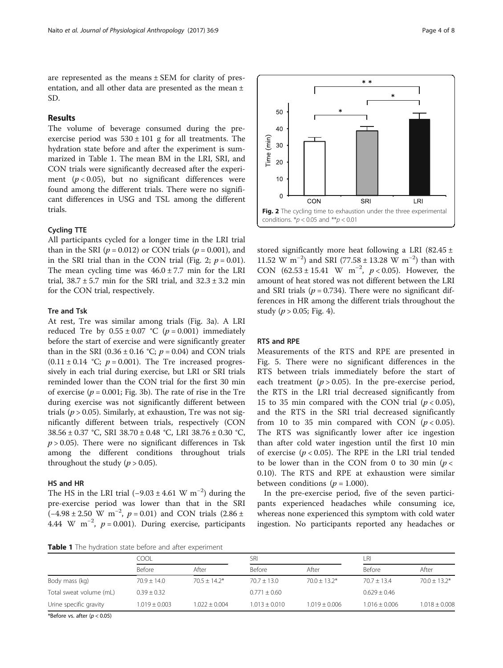are represented as the means ± SEM for clarity of presentation, and all other data are presented as the mean ± SD.

## Results

The volume of beverage consumed during the preexercise period was  $530 \pm 101$  g for all treatments. The hydration state before and after the experiment is summarized in Table 1. The mean BM in the LRI, SRI, and CON trials were significantly decreased after the experiment ( $p < 0.05$ ), but no significant differences were found among the different trials. There were no significant differences in USG and TSL among the different trials.

## Cycling TTE

All participants cycled for a longer time in the LRI trial than in the SRI ( $p = 0.012$ ) or CON trials ( $p = 0.001$ ), and in the SRI trial than in the CON trial (Fig. 2;  $p = 0.01$ ). The mean cycling time was  $46.0 \pm 7.7$  min for the LRI trial,  $38.7 \pm 5.7$  min for the SRI trial, and  $32.3 \pm 3.2$  min for the CON trial, respectively.

#### Tre and Tsk

At rest, Tre was similar among trials (Fig. [3a\)](#page-4-0). A LRI reduced Tre by  $0.55 \pm 0.07$  °C ( $p = 0.001$ ) immediately before the start of exercise and were significantly greater than in the SRI (0.36  $\pm$  0.16 °C;  $p = 0.04$ ) and CON trials  $(0.11 \pm 0.14 \degree C; p = 0.001)$ . The Tre increased progressively in each trial during exercise, but LRI or SRI trials reminded lower than the CON trial for the first 30 min of exercise ( $p = 0.001$ ; Fig. [3b](#page-4-0)). The rate of rise in the Tre during exercise was not significantly different between trials ( $p > 0.05$ ). Similarly, at exhaustion, Tre was not significantly different between trials, respectively (CON 38.56 ± 0.37 °C, SRI 38.70 ± 0.48 °C, LRI 38.76 ± 0.30 °C,  $p > 0.05$ ). There were no significant differences in Tsk among the different conditions throughout trials throughout the study ( $p > 0.05$ ).

## HS and HR

The HS in the LRI trial  $(-9.03 \pm 4.61 \text{ W m}^{-2})$  during the pre-exercise period was lower than that in the SRI  $(-4.98 \pm 2.50 \text{ W m}^{-2}, p = 0.01)$  and CON trials  $(2.86 \pm 1.00)$ 4.44 W m<sup>-2</sup>,  $p = 0.001$ ). During exercise, participants



stored significantly more heat following a LRI (82.45  $\pm$ 11.52 W m−<sup>2</sup> ) and SRI (77.58 ± 13.28 W m−<sup>2</sup> ) than with CON  $(62.53 \pm 15.41 \text{ W m}^{-2}, p < 0.05)$ . However, the amount of heat stored was not different between the LRI and SRI trials ( $p = 0.734$ ). There were no significant differences in HR among the different trials throughout the study ( $p > 0.05$ ; Fig. [4](#page-4-0)).

## RTS and RPE

Measurements of the RTS and RPE are presented in Fig. [5.](#page-5-0) There were no significant differences in the RTS between trials immediately before the start of each treatment ( $p > 0.05$ ). In the pre-exercise period, the RTS in the LRI trial decreased significantly from 15 to 35 min compared with the CON trial  $(p < 0.05)$ , and the RTS in the SRI trial decreased significantly from 10 to 35 min compared with CON  $(p < 0.05)$ . The RTS was significantly lower after ice ingestion than after cold water ingestion until the first 10 min of exercise ( $p < 0.05$ ). The RPE in the LRI trial tended to be lower than in the CON from 0 to 30 min  $(p <$ 0.10). The RTS and RPE at exhaustion were similar between conditions ( $p = 1.000$ ).

In the pre-exercise period, five of the seven participants experienced headaches while consuming ice, whereas none experienced this symptom with cold water ingestion. No participants reported any headaches or

Table 1 The hydration state before and after experiment

|                         | COOL            |                 | SRI               |                 | LRI             |                   |
|-------------------------|-----------------|-----------------|-------------------|-----------------|-----------------|-------------------|
|                         | Before          | After           | <b>Before</b>     | After           | <b>Before</b>   | After             |
| Body mass (kg)          | $70.9 + 14.0$   | $70.5 + 14.2*$  | $70.7 + 13.0$     | $70.0 + 13.2*$  | $707 + 134$     | $70.0 + 13.2*$    |
| Total sweat volume (mL) | $0.39 + 0.32$   |                 | $0.771 + 0.60$    |                 | $0.629 + 0.46$  |                   |
| Urine specific gravity  | $1.019 + 0.003$ | $1.022 + 0.004$ | $1.013 \pm 0.010$ | $1.019 + 0.006$ | $1.016 + 0.006$ | $1.018 \pm 0.008$ |

\*Before vs. after  $(p < 0.05)$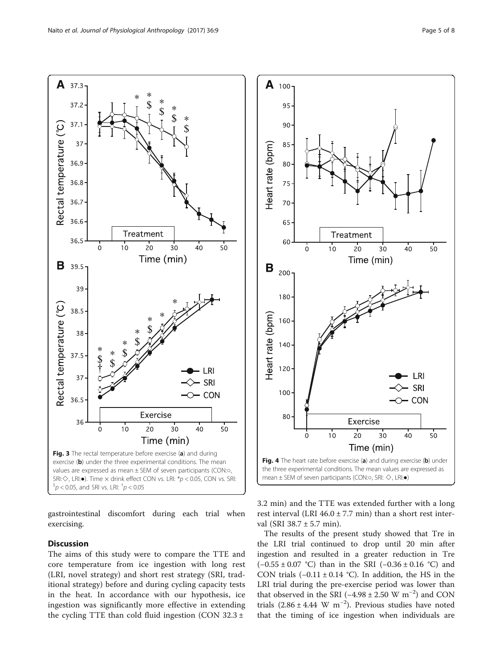<span id="page-4-0"></span>

gastrointestinal discomfort during each trial when exercising.

## **Discussion**

The aims of this study were to compare the TTE and core temperature from ice ingestion with long rest (LRI, novel strategy) and short rest strategy (SRI, traditional strategy) before and during cycling capacity tests in the heat. In accordance with our hypothesis, ice ingestion was significantly more effective in extending the cycling TTE than cold fluid ingestion (CON 32.3 ±

3.2 min) and the TTE was extended further with a long rest interval (LRI  $46.0 \pm 7.7$  min) than a short rest interval (SRI 38.7 ± 5.7 min).

The results of the present study showed that Tre in the LRI trial continued to drop until 20 min after ingestion and resulted in a greater reduction in Tre (−0.55 ± 0.07 °C) than in the SRI (−0.36 ± 0.16 °C) and CON trials  $(-0.11 \pm 0.14 \degree C)$ . In addition, the HS in the LRI trial during the pre-exercise period was lower than that observed in the SRI ( $-4.98 \pm 2.50$  W m<sup>-2</sup>) and CON trials  $(2.86 \pm 4.44 \text{ W m}^{-2})$ . Previous studies have noted that the timing of ice ingestion when individuals are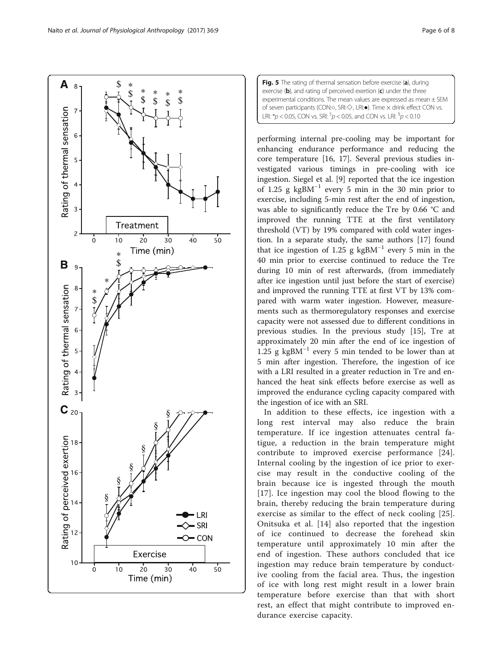<span id="page-5-0"></span>Naito et al. Journal of Physiological Anthropology (2017) 36:9 Page 6 of 8



| Fig. 5 The rating of thermal sensation before exercise (a), during                                       |
|----------------------------------------------------------------------------------------------------------|
| exercise $(b)$ , and rating of perceived exertion $(c)$ under the three                                  |
| experimental conditions. The mean values are expressed as mean $\pm$ SEM                                 |
| of seven participants (CON:o, SRI: $\diamondsuit$ , LRI: $\bullet$ ). Time $\times$ drink effect CON vs. |
| LRI: $* p < 0.05$ , CON vs. SRI: $5 p < 0.05$ , and CON vs. LRI: $5 p < 0.10$                            |
|                                                                                                          |

performing internal pre-cooling may be important for enhancing endurance performance and reducing the core temperature [[16, 17](#page-7-0)]. Several previous studies investigated various timings in pre-cooling with ice ingestion. Siegel et al. [\[9\]](#page-7-0) reported that the ice ingestion of 1.25 g kgBM<sup> $-1$ </sup> every 5 min in the 30 min prior to exercise, including 5-min rest after the end of ingestion, was able to significantly reduce the Tre by 0.66 °C and improved the running TTE at the first ventilatory threshold (VT) by 19% compared with cold water ingestion. In a separate study, the same authors [\[17\]](#page-7-0) found that ice ingestion of 1.25 g kgBM<sup>-1</sup> every 5 min in the 40 min prior to exercise continued to reduce the Tre during 10 min of rest afterwards, (from immediately after ice ingestion until just before the start of exercise) and improved the running TTE at first VT by 13% compared with warm water ingestion. However, measurements such as thermoregulatory responses and exercise capacity were not assessed due to different conditions in previous studies. In the previous study [\[15\]](#page-7-0), Tre at approximately 20 min after the end of ice ingestion of 1.25 g kgBM<sup>-1</sup> every 5 min tended to be lower than at 5 min after ingestion. Therefore, the ingestion of ice with a LRI resulted in a greater reduction in Tre and enhanced the heat sink effects before exercise as well as improved the endurance cycling capacity compared with the ingestion of ice with an SRI.

In addition to these effects, ice ingestion with a long rest interval may also reduce the brain temperature. If ice ingestion attenuates central fatigue, a reduction in the brain temperature might contribute to improved exercise performance [[24](#page-7-0)]. Internal cooling by the ingestion of ice prior to exercise may result in the conductive cooling of the brain because ice is ingested through the mouth [[17](#page-7-0)]. Ice ingestion may cool the blood flowing to the brain, thereby reducing the brain temperature during exercise as similar to the effect of neck cooling [[25](#page-7-0)]. Onitsuka et al. [[14](#page-7-0)] also reported that the ingestion of ice continued to decrease the forehead skin temperature until approximately 10 min after the end of ingestion. These authors concluded that ice ingestion may reduce brain temperature by conductive cooling from the facial area. Thus, the ingestion of ice with long rest might result in a lower brain temperature before exercise than that with short rest, an effect that might contribute to improved endurance exercise capacity.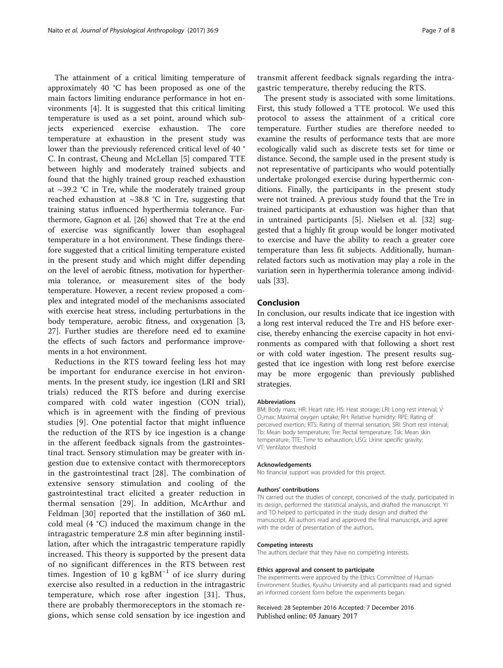The attainment of a critical limiting temperature of approximately 40 °C has been proposed as one of the main factors limiting endurance performance in hot environments [\[4](#page-7-0)]. It is suggested that this critical limiting temperature is used as a set point, around which subjects experienced exercise exhaustion. The core temperature at exhaustion in the present study was lower than the previously referenced critical level of 40 ° C. In contrast, Cheung and McLellan [[5\]](#page-7-0) compared TTE between highly and moderately trained subjects and found that the highly trained group reached exhaustion at  $\sim$ 39.2 °C in Tre, while the moderately trained group reached exhaustion at  $\sim$ 38.8 °C in Tre, suggesting that training status influenced hyperthermia tolerance. Furthermore, Gagnon et al. [[26](#page-7-0)] showed that Tre at the end of exercise was significantly lower than esophageal temperature in a hot environment. These findings therefore suggested that a critical limiting temperature existed in the present study and which might differ depending on the level of aerobic fitness, motivation for hyperthermia tolerance, or measurement sites of the body temperature. However, a recent review proposed a complex and integrated model of the mechanisms associated with exercise heat stress, including perturbations in the body temperature, aerobic fitness, and oxygenation [\[3](#page-7-0), [27\]](#page-7-0). Further studies are therefore need ed to examine the effects of such factors and performance improvements in a hot environment.

Reductions in the RTS toward feeling less hot may be important for endurance exercise in hot environments. In the present study, ice ingestion (LRI and SRI trials) reduced the RTS before and during exercise compared with cold water ingestion (CON trial), which is in agreement with the finding of previous studies [[9\]](#page-7-0). One potential factor that might influence the reduction of the RTS by ice ingestion is a change in the afferent feedback signals from the gastrointestinal tract. Sensory stimulation may be greater with ingestion due to extensive contact with thermoreceptors in the gastrointestinal tract [[28\]](#page-7-0). The combination of extensive sensory stimulation and cooling of the gastrointestinal tract elicited a greater reduction in thermal sensation [[29](#page-7-0)]. In addition, McArthur and Feldman [\[30\]](#page-7-0) reported that the instillation of 360 mL cold meal (4 °C) induced the maximum change in the intragastric temperature 2.8 min after beginning instillation, after which the intragastric temperature rapidly increased. This theory is supported by the present data of no significant differences in the RTS between rest times. Ingestion of 10 g  $kgBM^{-1}$  of ice slurry during exercise also resulted in a reduction in the intragastric temperature, which rose after ingestion [[31](#page-7-0)]. Thus, there are probably thermoreceptors in the stomach regions, which sense cold sensation by ice ingestion and

transmit afferent feedback signals regarding the intragastric temperature, thereby reducing the RTS.

The present study is associated with some limitations. First, this study followed a TTE protocol. We used this protocol to assess the attainment of a critical core temperature. Further studies are therefore needed to examine the results of performance tests that are more ecologically valid such as discrete tests set for time or distance. Second, the sample used in the present study is not representative of participants who would potentially undertake prolonged exercise during hyperthermic conditions. Finally, the participants in the present study were not trained. A previous study found that the Tre in trained participants at exhaustion was higher than that in untrained participants [\[5\]](#page-7-0). Nielsen et al. [[32\]](#page-7-0) suggested that a highly fit group would be longer motivated to exercise and have the ability to reach a greater core temperature than less fit subjects. Additionally, humanrelated factors such as motivation may play a role in the variation seen in hyperthermia tolerance among individuals [[33\]](#page-7-0).

## Conclusion

In conclusion, our results indicate that ice ingestion with a long rest interval reduced the Tre and HS before exercise, thereby enhancing the exercise capacity in hot environments as compared with that following a short rest or with cold water ingestion. The present results suggested that ice ingestion with long rest before exercise may be more ergogenic than previously published strategies.

#### Abbreviations

BM: Body mass; HR: Heart rate; HS: Heat storage; LRI: Long rest interval; V<sup>:</sup> O2max: Maximal oxygen uptake; RH: Relative humidity; RPE: Rating of perceived exertion; RTS: Rating of thermal sensation; SRI: Short rest interval; Tb: Mean body temperature; Tre: Rectal temperature; Tsk: Mean skin temperature; TTE: Time to exhaustion; USG: Urine specific gravity; VT: Ventilator threshold

#### Acknowledgements

No financial support was provided for this project.

#### Authors' contributions

TN carried out the studies of concept, conceived of the study, participated in its design, performed the statistical analysis, and drafted the manuscript. YI and TO helped to participated in the study design and drafted the manuscript. All authors read and approved the final manuscript, and agree with the order of presentation of the authors.

#### Competing interests

The authors declare that they have no competing interests.

#### Ethics approval and consent to participate

The experiments were approved by the Ethics Committee of Human-Environment Studies, Kyushu University and all participants read and signed an informed consent form before the experiments began.

Received: 28 September 2016 Accepted: 7 December 2016 Published online: 05 January 2017